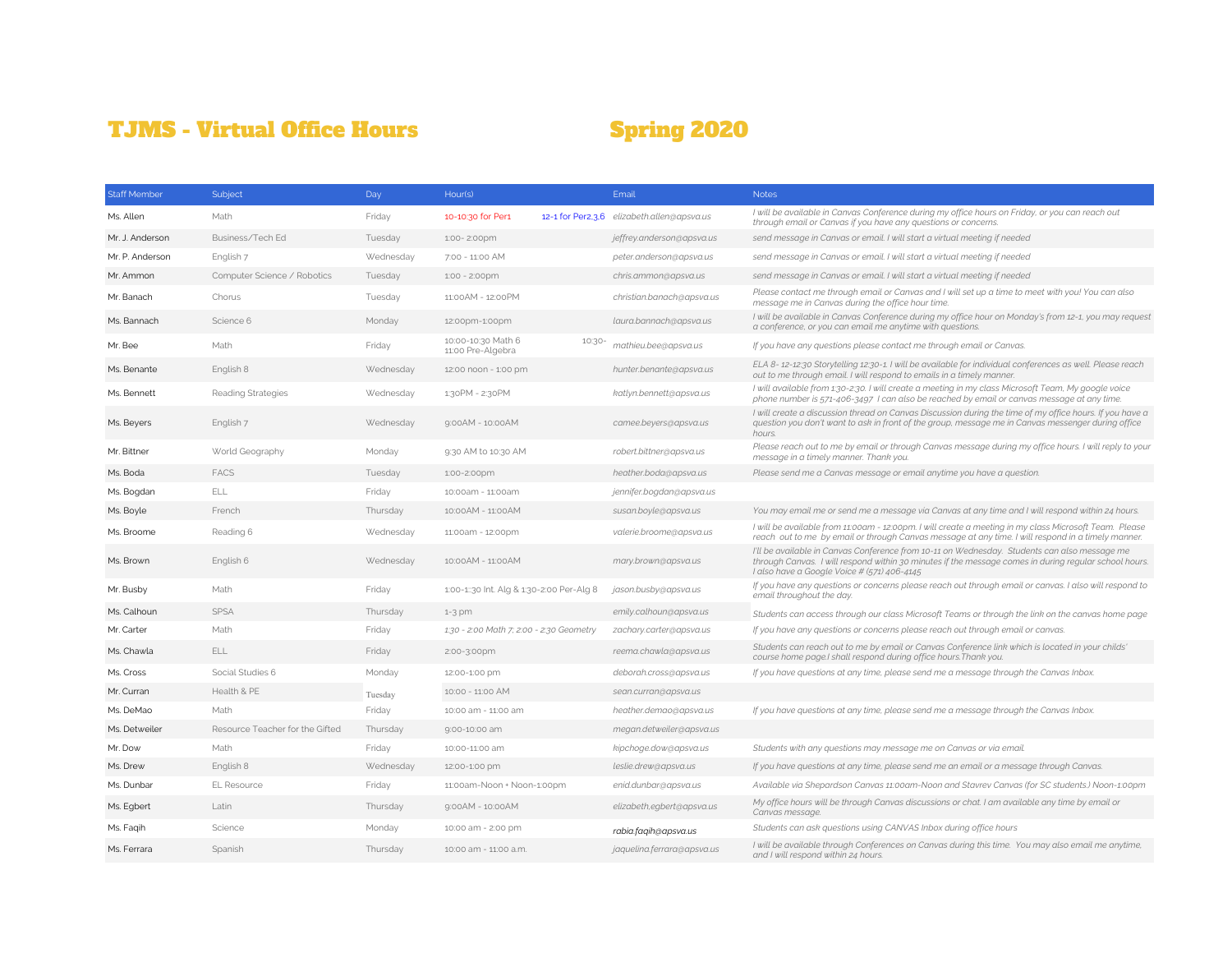## TJMS - Virtual Office Hours Spring 2020

| <b>Staff Member</b> | Subject                         | Day       | Hour(s)                                           | Email                                      | <b>Notes</b>                                                                                                                                                                                                                                         |
|---------------------|---------------------------------|-----------|---------------------------------------------------|--------------------------------------------|------------------------------------------------------------------------------------------------------------------------------------------------------------------------------------------------------------------------------------------------------|
| Ms. Allen           | Math                            | Friday    | 10-10:30 for Per1                                 | 12-1 for Per2,3,6 elizabeth.allen@apsva.us | I will be available in Canvas Conference during my office hours on Friday, or you can reach out<br>through email or Canvas if you have any questions or concerns.                                                                                    |
| Mr. J. Anderson     | Business/Tech Ed                | Tuesday   | 1:00-2:00pm                                       | jeffrey.anderson@apsva.us                  | send message in Canvas or email. I will start a virtual meeting if needed                                                                                                                                                                            |
| Mr. P. Anderson     | English 7                       | Wednesday | 7:00 - 11:00 AM                                   | peter.anderson@apsva.us                    | send message in Canvas or email. I will start a virtual meeting if needed                                                                                                                                                                            |
| Mr. Ammon           | Computer Science / Robotics     | Tuesday   | 1:00 - 2:00pm                                     | chris.ammon@apsva.us                       | send message in Canvas or email. I will start a virtual meeting if needed                                                                                                                                                                            |
| Mr. Banach          | Chorus                          | Tuesday   | 11:00 AM - 12:00 PM                               | christian.banach@apsva.us                  | Please contact me through email or Canvas and I will set up a time to meet with you! You can also<br>message me in Canvas during the office hour time.                                                                                               |
| Ms. Bannach         | Science 6                       | Monday    | 12:00pm-1:00pm                                    | laura.bannach@apsva.us                     | I will be available in Canvas Conference during my office hour on Monday's from 12-1, you may request<br>a conference, or you can email me anytime with questions.                                                                                   |
| Mr. Bee             | Math                            | Friday    | 10:00-10:30 Math 6<br>10:30-<br>11:00 Pre-Algebra | mathieu.bee@apsva.us                       | If you have any questions please contact me through email or Canvas.                                                                                                                                                                                 |
| Ms. Benante         | English 8                       | Wednesday | 12:00 noon - 1:00 pm                              | hunter.benante@apsva.us                    | ELA 8-12-12:30 Storytelling 12:30-1. I will be available for individual conferences as well. Please reach<br>out to me through email. I will respond to emails in a timely manner.                                                                   |
| Ms. Bennett         | <b>Reading Strategies</b>       | Wednesday | 1:30PM - 2:30PM                                   | katlyn.bennett@apsva.us                    | I will available from 1:30-2:30. I will create a meeting in my class Microsoft Team, My google voice<br>phone number is 571-406-3497 I can also be reached by email or canvas message at any time.                                                   |
| Ms. Beyers          | English 7                       | Wednesday | $9:00AM - 10:00AM$                                | camee.beyers@apsva.us                      | I will create a discussion thread on Canvas Discussion during the time of my office hours. If you have a<br>question you don't want to ask in front of the group, message me in Canvas messenger during office<br>hours.                             |
| Mr. Bittner         | World Geography                 | Monday    | 9:30 AM to 10:30 AM                               | robert.bittner@apsva.us                    | Please reach out to me by email or through Canvas message during my office hours. I will reply to your<br>message in a timely manner. Thank you.                                                                                                     |
| Ms. Boda            | <b>FACS</b>                     | Tuesday   | 1:00-2:00pm                                       | heather.boda@apsva.us                      | Please send me a Canvas message or email anytime you have a question.                                                                                                                                                                                |
| Ms. Bogdan          | ELL                             | Friday    | 10:00am - 11:00am                                 | jennifer.bogdan@apsva.us                   |                                                                                                                                                                                                                                                      |
| Ms. Boyle           | French                          | Thursday  | 10:00AM - 11:00AM                                 | susan.boyle@apsva.us                       | You may email me or send me a message via Canvas at any time and I will respond within 24 hours.                                                                                                                                                     |
| Ms. Broome          | Reading 6                       | Wednesday | 11:00am - 12:00pm                                 | valerie.broome@apsva.us                    | I will be available from 11:00am - 12:00pm. I will create a meeting in my class Microsoft Team. Please<br>reach out to me by email or through Canvas message at any time. I will respond in a timely manner.                                         |
| Ms. Brown           | English 6                       | Wednesday | 10:00AM - 11:00AM                                 | mary.brown@apsva.us                        | I'll be available in Canvas Conference from 10-11 on Wednesday. Students can also message me<br>through Canvas. I will respond within 30 minutes if the message comes in during regular school hours.<br>I also have a Google Voice # (571) 406-4145 |
| Mr. Busby           | Math                            | Friday    | 1:00-1::30 Int. Alg & 1:30-2:00 Per-Alg 8         | jason.busby@apsva.us                       | If you have any questions or concerns please reach out through email or canvas. I also will respond to<br>email throughout the day.                                                                                                                  |
| Ms. Calhoun         | <b>SPSA</b>                     | Thursday  | $1-3$ pm                                          | emily.calhoun@apsva.us                     | Students can access through our class Microsoft Teams or through the link on the canvas home page                                                                                                                                                    |
| Mr. Carter          | Math                            | Friday    | 1:30 - 2:00 Math 7; 2:00 - 2:30 Geometry          | zachary.carter@apsva.us                    | If you have any questions or concerns please reach out through email or canvas.                                                                                                                                                                      |
| Ms. Chawla          | ELL                             | Friday    | 2:00-3:00pm                                       | reema.chawla@apsva.us                      | Students can reach out to me by email or Canvas Conference link which is located in your childs'<br>course home page.I shall respond during office hours. Thank you.                                                                                 |
| Ms. Cross           | Social Studies 6                | Monday    | 12:00-1:00 pm                                     | deborah.cross@apsva.us                     | If you have questions at any time, please send me a message through the Canvas Inbox.                                                                                                                                                                |
| Mr. Curran          | Health & PE                     | Tuesday   | 10:00 - 11:00 AM                                  | sean.curran@apsva.us                       |                                                                                                                                                                                                                                                      |
| Ms. DeMao           | Math                            | Friday    | 10:00 am - 11:00 am                               | heather.demao@apsva.us                     | If you have questions at any time, please send me a message through the Canvas Inbox.                                                                                                                                                                |
| Ms. Detweiler       | Resource Teacher for the Gifted | Thursday  | 9:00-10:00 am                                     | megan.detweiler@apsva.us                   |                                                                                                                                                                                                                                                      |
| Mr. Dow             | Math                            | Friday    | 10:00-11:00 am                                    | kipchoge.dow@apsva.us                      | Students with any questions may message me on Canvas or via email.                                                                                                                                                                                   |
| Ms. Drew            | English 8                       | Wednesday | 12:00-1:00 pm                                     | leslie.drew@apsva.us                       | If you have questions at any time, please send me an email or a message through Canvas.                                                                                                                                                              |
| Ms. Dunbar          | <b>EL Resource</b>              | Friday    | 11:00am-Noon + Noon-1:00pm                        | enid.dunbar@apsva.us                       | Available via Shepardson Canvas 11:00am-Noon and Stavrev Canvas (for SC students.) Noon-1:00pm                                                                                                                                                       |
| Ms. Egbert          | Latin                           | Thursday  | $9:00AM - 10:00AM$                                | elizabeth,egbert@apsva.us                  | My office hours will be through Canvas discussions or chat. I am available any time by email or<br>Canvas message.                                                                                                                                   |
| Ms. Faqih           | Science                         | Monday    | 10:00 am - 2:00 pm                                | rabia.faqih@apsva.us                       | Students can ask questions using CANVAS Inbox during office hours                                                                                                                                                                                    |
| Ms. Ferrara         | Spanish                         | Thursday  | 10:00 am - 11:00 a.m.                             | jaquelina.ferrara@apsva.us                 | I will be available through Conferences on Canvas during this time. You may also email me anytime,<br>and I will respond within 24 hours.                                                                                                            |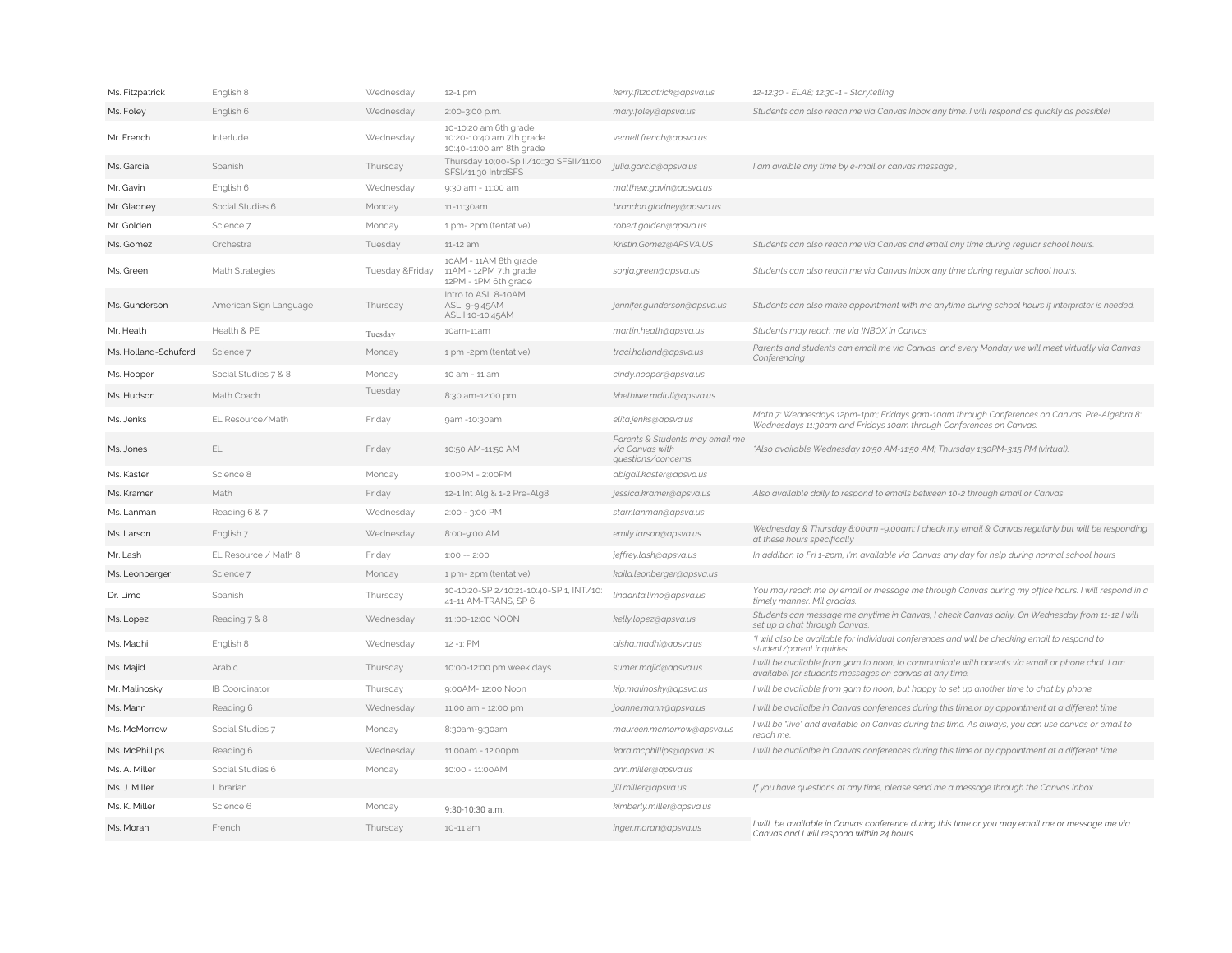| Ms. Fitzpatrick      | English 8              | Wednesday        | 12-1 pm                                                                       | kerry.fitzpatrick@apsva.us                                                | 12-12:30 - ELA8; 12:30-1 - Storytelling                                                                                                                           |
|----------------------|------------------------|------------------|-------------------------------------------------------------------------------|---------------------------------------------------------------------------|-------------------------------------------------------------------------------------------------------------------------------------------------------------------|
| Ms. Foley            | English 6              | Wednesday        | 2:00-3:00 p.m.                                                                | mary.foley@apsva.us                                                       | Students can also reach me via Canvas Inbox any time. I will respond as quickly as possible!                                                                      |
| Mr. French           | Interlude              | Wednesday        | 10-10:20 am 6th grade<br>10:20-10:40 am 7th grade<br>10:40-11:00 am 8th grade | vernell.french@apsva.us                                                   |                                                                                                                                                                   |
| Ms. Garcia           | Spanish                | Thursday         | Thursday 10;00-Sp II/10::30 SFSII/11:00<br>SFSI/11:30 IntrdSFS                | julia.garcia@apsva.us                                                     | I am avaible any time by e-mail or canvas message                                                                                                                 |
| Mr. Gavin            | English 6              | Wednesday        | 9:30 am - 11:00 am                                                            | matthew.gavin@apsva.us                                                    |                                                                                                                                                                   |
| Mr. Gladney          | Social Studies 6       | Monday           | 11-11:30am                                                                    | brandon.gladney@apsva.us                                                  |                                                                                                                                                                   |
| Mr. Golden           | Science 7              | Monday           | 1 pm- 2pm (tentative)                                                         | robert.golden@apsva.us                                                    |                                                                                                                                                                   |
| Ms. Gomez            | Orchestra              | Tuesday          | 11-12 am                                                                      | Kristin.Gomez@APSVA.US                                                    | Students can also reach me via Canvas and email any time during regular school hours.                                                                             |
| Ms. Green            | Math Strategies        | Tuesday & Friday | 10AM - 11AM 8th grade<br>11AM - 12PM 7th grade<br>12PM - 1PM 6th grade        | sonja.green@apsva.us                                                      | Students can also reach me via Canvas Inbox any time during regular school hours.                                                                                 |
| Ms. Gunderson        | American Sign Language | Thursday         | Intro to ASL 8-10AM<br>ASLI 9-9:45AM<br>ASLII 10-10:45AM                      | jennifer.gunderson@apsva.us                                               | Students can also make appointment with me anytime during school hours if interpreter is needed.                                                                  |
| Mr. Heath            | Health & PE            | Tuesday          | 10am-11am                                                                     | martin, heath@apsva.us                                                    | Students may reach me via INBOX in Canvas                                                                                                                         |
| Ms. Holland-Schuford | Science 7              | Monday           | 1 pm -2pm (tentative)                                                         | traci.holland@apsva.us                                                    | Parents and students can email me via Canvas and every Monday we will meet virtually via Canvas<br>Conferencing                                                   |
| Ms. Hooper           | Social Studies 7 & 8   | Monday           | 10 am - 11 am                                                                 | cindy.hooper@apsva.us                                                     |                                                                                                                                                                   |
| Ms. Hudson           | Math Coach             | Tuesday          | 8:30 am-12:00 pm                                                              | khethiwe.mdluli@apsva.us                                                  |                                                                                                                                                                   |
| Ms. Jenks            | EL Resource/Math       | Friday           | 9am -10:30am                                                                  | elita.jenks@apsva.us                                                      | Math 7: Wednesdays 12pm-1pm; Fridays gam-10am through Conferences on Canvas. Pre-Algebra 8:<br>Wednesdays 11:30am and Fridays 10am through Conferences on Canvas. |
| Ms. Jones            | EL                     | Friday           | 10:50 AM-11:50 AM                                                             | Parents & Students may email me<br>via Canvas with<br>questions/concerns. | *Also available Wednesday 10:50 AM-11:50 AM; Thursday 1:30PM-3:15 PM (virtual).                                                                                   |
| Ms. Kaster           | Science 8              | Monday           | 1:00PM - 2:00PM                                                               | abigail.kaster@apsva.us                                                   |                                                                                                                                                                   |
|                      |                        |                  |                                                                               |                                                                           |                                                                                                                                                                   |
| Ms. Kramer           | Math                   | Friday           | 12-1 Int Alg & 1-2 Pre-Alg8                                                   | jessica.kramer@apsva.us                                                   | Also available daily to respond to emails between 10-2 through email or Canvas                                                                                    |
| Ms. Lanman           | Reading 6 & 7          | Wednesday        | 2:00 - 3:00 PM                                                                | starr.lanman@apsva.us                                                     |                                                                                                                                                                   |
| Ms. Larson           | English 7              | Wednesday        | 8:00-9:00 AM                                                                  | emily.larson@apsva.us                                                     | Wednesday & Thursday 8:00am -9:00am; I check my email & Canvas regularly but will be responding<br>at these hours specifically                                    |
| Mr. Lash             | EL Resource / Math 8   | Friday           | $1:00 - 2:00$                                                                 | jeffrey.lash@apsva.us                                                     | In addition to Fri 1-2pm, I'm available via Canvas any day for help during normal school hours                                                                    |
| Ms. Leonberger       | Science 7              | Monday           | 1 pm- 2pm (tentative)                                                         | kaila.leonberger@apsva.us                                                 |                                                                                                                                                                   |
| Dr. Limo             | Spanish                | Thursday         | 10-10:20-SP 2/10:21-10:40-SP 1, INT/10:<br>41-11 AM-TRANS, SP 6               | lindarita.limo@apsva.us                                                   | You may reach me by email or message me through Canvas during my office hours. I will respond in a<br>timely manner. Mil gracias.                                 |
| Ms. Lopez            | Reading 7 & 8          | Wednesday        | 11:00-12:00 NOON                                                              | kelly.lopez@apsva.us                                                      | Students can message me anytime in Canvas, I check Canvas daily. On Wednesday from 11-12 I will<br>set up a chat through Canvas.                                  |
| Ms. Madhi            | English 8              | Wednesday        | 12 -1: PM                                                                     | aisha.madhi@apsva.us                                                      | "I will also be available for individual conferences and will be checking email to respond to<br>student/parent inquiries.                                        |
| Ms. Majid            | Arabic                 | Thursday         | 10:00-12:00 pm week days                                                      | sumer.majid@apsva.us                                                      | I will be available from gam to noon, to communicate with parents via email or phone chat. I am<br>availabel for students messages on canvas at any time.         |
| Mr. Malinosky        | IB Coordinator         | Thursday         | 9:00AM- 12:00 Noon                                                            | kip.malinosky@apsva.us                                                    | I will be available from gam to noon, but happy to set up another time to chat by phone.                                                                          |
| Ms. Mann             | Reading 6              | Wednesday        | 11:00 am - 12:00 pm                                                           | joanne.mann@apsva.us                                                      | I will be availalbe in Canvas conferences during this time.or by appointment at a different time                                                                  |
| Ms. McMorrow         | Social Studies 7       | Monday           | 8:30am-9:30am                                                                 | maureen.mcmorrow@apsva.us                                                 | I will be "live" and available on Canvas during this time. As always, you can use canvas or email to<br>reach me                                                  |
| Ms. McPhillips       | Reading 6              | Wednesday        | 11:00am - 12:00pm                                                             | kara.mcphillips@apsva.us                                                  | I will be availalbe in Canvas conferences during this time.or by appointment at a different time                                                                  |
| Ms. A. Miller        | Social Studies 6       | Monday           | 10:00 - 11:00 AM                                                              | ann.miller@apsva.us                                                       |                                                                                                                                                                   |
| Ms. J. Miller        | Librarian              |                  |                                                                               | jill.miller@apsva.us                                                      | If you have questions at any time, please send me a message through the Canvas Inbox.                                                                             |
| Ms. K. Miller        | Science 6              | Monday           | 9:30-10:30 a.m.                                                               | kimberly.miller@apsva.us                                                  | I will be available in Canvas conference during this time or you may email me or message me via                                                                   |